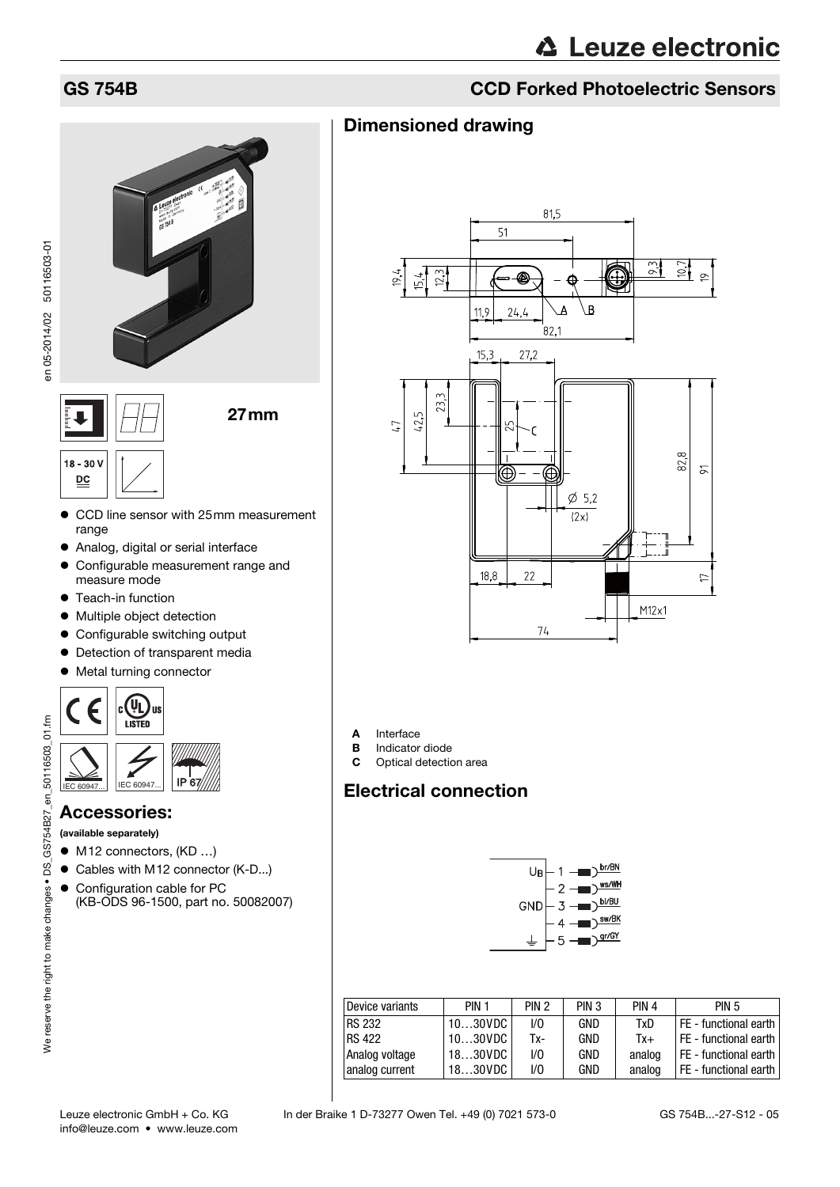

- CCD line sensor with 25mm measurement range
- Analog, digital or serial interface
- Configurable measurement range and measure mode
- Teach-in function
- Multiple object detection
- Configurable switching output
- Detection of transparent media
- Metal turning connector



#### Accessories:

(available separately)

- M12 connectors, (KD ...)
- Cables with M12 connector (K-D...)
- Configuration cable for PC (KB-ODS 96-1500, part no. 50082007)

## GS 754B CCD Forked Photoelectric Sensors

#### Dimensioned drawing



- **A** Interface<br>**B** Indicator **B** Indicator diode<br>**C** Optical detection
- Optical detection area

#### Electrical connection



<span id="page-0-0"></span>

| Device variants | PIN <sub>1</sub>   | PIN <sub>2</sub> | PIN <sub>3</sub> | PIN <sub>4</sub> | <b>PIN 5</b>            |
|-----------------|--------------------|------------------|------------------|------------------|-------------------------|
| <b>RS 232</b>   | 1030VDC            | 1/0              | GND              | TxD              | FE - functional earth   |
| <b>RS 422</b>   | $1030$ VDC $\vert$ | Tx-              | GND              | $Tx +$           | FE - functional earth   |
| Analog voltage  | 1830VDC            | 1/0              | GND              | analog           | I FE - functional earth |
| analog current  | 1830VDC            | 1/0              | GND              | analog           | FE - functional earth   |